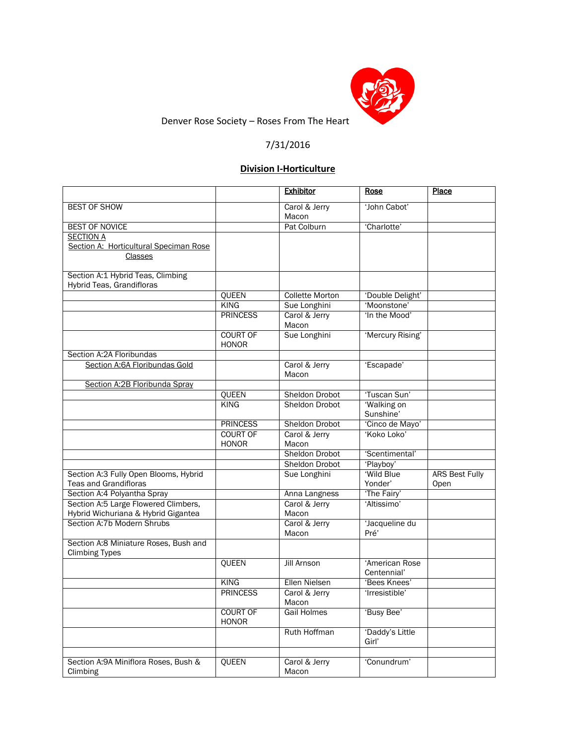

Denver Rose Society – Roses From The Heart

## 7/31/2016

# **Division I-Horticulture**

|                                                                |                                 | <b>Exhibitor</b>       | Rose                          | Place                 |
|----------------------------------------------------------------|---------------------------------|------------------------|-------------------------------|-----------------------|
| <b>BEST OF SHOW</b>                                            |                                 | Carol & Jerry          | 'John Cabot'                  |                       |
|                                                                |                                 | Macon                  |                               |                       |
| <b>BEST OF NOVICE</b>                                          |                                 | Pat Colburn            | 'Charlotte'                   |                       |
| <b>SECTION A</b>                                               |                                 |                        |                               |                       |
| Section A: Horticultural Speciman Rose                         |                                 |                        |                               |                       |
| Classes                                                        |                                 |                        |                               |                       |
|                                                                |                                 |                        |                               |                       |
| Section A:1 Hybrid Teas, Climbing<br>Hybrid Teas, Grandifloras |                                 |                        |                               |                       |
|                                                                | QUEEN                           | <b>Collette Morton</b> | 'Double Delight'              |                       |
|                                                                | <b>KING</b>                     | Sue Longhini           | 'Moonstone'                   |                       |
|                                                                | <b>PRINCESS</b>                 | Carol & Jerry<br>Macon | 'In the Mood'                 |                       |
|                                                                | <b>COURT OF</b><br><b>HONOR</b> | Sue Longhini           | 'Mercury Rising'              |                       |
| Section A:2A Floribundas                                       |                                 |                        |                               |                       |
| Section A:6A Floribundas Gold                                  |                                 | Carol & Jerry<br>Macon | 'Escapade'                    |                       |
| Section A:2B Floribunda Spray                                  |                                 |                        |                               |                       |
|                                                                | QUEEN                           | Sheldon Drobot         | 'Tuscan Sun'                  |                       |
|                                                                | KING                            | <b>Sheldon Drobot</b>  | 'Walking on                   |                       |
|                                                                |                                 |                        | Sunshine'                     |                       |
|                                                                | <b>PRINCESS</b>                 | <b>Sheldon Drobot</b>  | 'Cinco de Mayo'               |                       |
|                                                                | <b>COURT OF</b><br><b>HONOR</b> | Carol & Jerry<br>Macon | 'Koko Loko'                   |                       |
|                                                                |                                 | <b>Sheldon Drobot</b>  | 'Scentimental'                |                       |
|                                                                |                                 | Sheldon Drobot         | 'Playboy'                     |                       |
| Section A:3 Fully Open Blooms, Hybrid                          |                                 | Sue Longhini           | 'Wild Blue                    | <b>ARS Best Fully</b> |
| <b>Teas and Grandifloras</b>                                   |                                 |                        | Yonder'                       | Open                  |
| Section A:4 Polyantha Spray                                    |                                 | Anna Langness          | 'The Fairy'                   |                       |
| Section A:5 Large Flowered Climbers,                           |                                 | Carol & Jerry          | 'Altissimo'                   |                       |
| Hybrid Wichuriana & Hybrid Gigantea                            |                                 | Macon                  |                               |                       |
| Section A:7b Modern Shrubs                                     |                                 | Carol & Jerry          | 'Jacqueline du                |                       |
|                                                                |                                 | Macon                  | Pré'                          |                       |
| Section A:8 Miniature Roses, Bush and<br><b>Climbing Types</b> |                                 |                        |                               |                       |
|                                                                | QUEEN                           | <b>Jill Arnson</b>     | 'American Rose<br>Centennial' |                       |
|                                                                | <b>KING</b>                     | <b>Ellen Nielsen</b>   | 'Bees Knees'                  |                       |
|                                                                | <b>PRINCESS</b>                 | Carol & Jerry<br>Macon | 'Irresistible'                |                       |
|                                                                | <b>COURT OF</b><br><b>HONOR</b> | <b>Gail Holmes</b>     | 'Busy Bee'                    |                       |
|                                                                |                                 | Ruth Hoffman           | 'Daddy's Little               |                       |
|                                                                |                                 |                        | Girl'                         |                       |
|                                                                |                                 |                        |                               |                       |
| Section A:9A Miniflora Roses, Bush &<br>Climbing               | QUEEN                           | Carol & Jerry<br>Macon | 'Conundrum'                   |                       |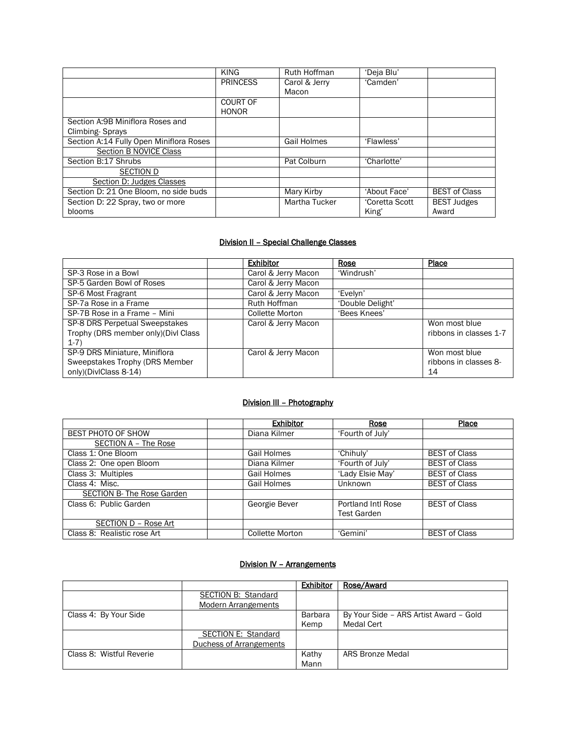|                                         | <b>KING</b>              | Ruth Hoffman       | 'Deja Blu'     |                      |
|-----------------------------------------|--------------------------|--------------------|----------------|----------------------|
|                                         | <b>PRINCESS</b>          | Carol & Jerry      | 'Camden'       |                      |
|                                         |                          | Macon              |                |                      |
|                                         | COURT OF<br><b>HONOR</b> |                    |                |                      |
| Section A:9B Miniflora Roses and        |                          |                    |                |                      |
| Climbing-Sprays                         |                          |                    |                |                      |
| Section A:14 Fully Open Miniflora Roses |                          | <b>Gail Holmes</b> | 'Flawless'     |                      |
| <b>Section B NOVICE Class</b>           |                          |                    |                |                      |
| Section B:17 Shrubs                     |                          | Pat Colburn        | 'Charlotte'    |                      |
| <b>SECTION D</b>                        |                          |                    |                |                      |
| Section D: Judges Classes               |                          |                    |                |                      |
| Section D: 21 One Bloom, no side buds   |                          | Mary Kirby         | 'About Face'   | <b>BEST of Class</b> |
| Section D: 22 Spray, two or more        |                          | Martha Tucker      | 'Coretta Scott | <b>BEST Judges</b>   |
| blooms                                  |                          |                    | King'          | Award                |

#### Division II – Special Challenge Classes

|                                                                                          | <b>Exhibitor</b>       | Rose             | Place                                        |
|------------------------------------------------------------------------------------------|------------------------|------------------|----------------------------------------------|
| SP-3 Rose in a Bowl                                                                      | Carol & Jerry Macon    | 'Windrush'       |                                              |
| SP-5 Garden Bowl of Roses                                                                | Carol & Jerry Macon    |                  |                                              |
| SP-6 Most Fragrant                                                                       | Carol & Jerry Macon    | 'Evelyn'         |                                              |
| SP-7a Rose in a Frame                                                                    | Ruth Hoffman           | 'Double Delight' |                                              |
| SP-7B Rose in a Frame - Mini                                                             | <b>Collette Morton</b> | 'Bees Knees'     |                                              |
| SP-8 DRS Perpetual Sweepstakes<br>Trophy (DRS member only) (Divl Class<br>$1-7)$         | Carol & Jerry Macon    |                  | Won most blue<br>ribbons in classes 1-7      |
| SP-9 DRS Miniature, Miniflora<br>Sweepstakes Trophy (DRS Member<br>only)(DivlClass 8-14) | Carol & Jerry Macon    |                  | Won most blue<br>ribbons in classes 8-<br>14 |

#### Division III – Photography

|                             | <b>Exhibitor</b>       | Rose               | Place                |
|-----------------------------|------------------------|--------------------|----------------------|
| BEST PHOTO OF SHOW          | Diana Kilmer           | 'Fourth of July'   |                      |
| SECTION A - The Rose        |                        |                    |                      |
| Class 1: One Bloom          | Gail Holmes            | 'Chihuly'          | <b>BEST of Class</b> |
| Class 2: One open Bloom     | Diana Kilmer           | 'Fourth of July'   | <b>BEST of Class</b> |
| Class 3: Multiples          | Gail Holmes            | 'Lady Elsie May'   | <b>BEST of Class</b> |
| Class 4: Misc.              | Gail Holmes            | Unknown            | <b>BEST of Class</b> |
| SECTION B- The Rose Garden  |                        |                    |                      |
| Class 6: Public Garden      | Georgie Bever          | Portland Intl Rose | <b>BEST of Class</b> |
|                             |                        | <b>Test Garden</b> |                      |
| SECTION D - Rose Art        |                        |                    |                      |
| Class 8: Realistic rose Art | <b>Collette Morton</b> | 'Gemini'           | <b>BEST of Class</b> |

### Division IV – Arrangements

|                          |                            | <b>Exhibitor</b> | Rose/Award                             |
|--------------------------|----------------------------|------------------|----------------------------------------|
|                          | <b>SECTION B: Standard</b> |                  |                                        |
|                          | <b>Modern Arrangements</b> |                  |                                        |
| Class 4: By Your Side    |                            | Barbara          | By Your Side - ARS Artist Award - Gold |
|                          |                            | Kemp             | Medal Cert                             |
|                          | SECTION E: Standard        |                  |                                        |
|                          | Duchess of Arrangements    |                  |                                        |
| Class 8: Wistful Reverie |                            | Kathy            | <b>ARS Bronze Medal</b>                |
|                          |                            | Mann             |                                        |